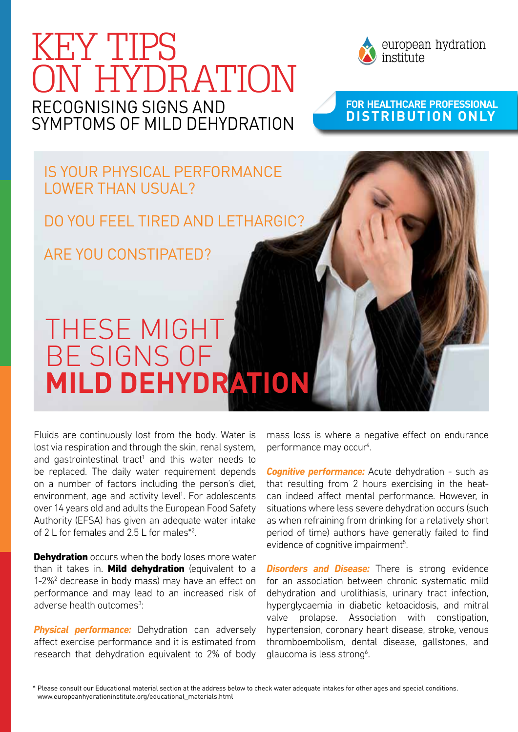



european hydration institute

## **For HeaLthcare Professional distribution only**

Is your physical performance lower than usual?

Do you feel tired and lethargic?

Are you constipated?

## These might be signs of **mild dehydration**

Fluids are continuously lost from the body. Water is lost via respiration and through the skin, renal system, and gastrointestinal tract<sup>1</sup> and this water needs to be replaced. The daily water requirement depends on a number of factors including the person's diet, environment, age and activity level<sup>1</sup>. For adolescents over 14 years old and adults the European Food Safety Authority (EFSA) has given an adequate water intake of 2 L for females and 2.5 L for males\*<sup>2</sup>.

**Dehydration** occurs when the body loses more water than it takes in. **Mild dehydration** (equivalent to a 1-2%<sup>2</sup> decrease in body mass) may have an effect on performance and may lead to an increased risk of adverse health outcomes<sup>3</sup>:

**Physical performance:** Dehydration can adversely affect exercise performance and it is estimated from research that dehydration equivalent to 2% of body mass loss is where a negative effect on endurance performance may occur<sup>4</sup>.

**Cognitive performance:** Acute dehydration - such as that resulting from 2 hours exercising in the heatcan indeed affect mental performance. However, in situations where less severe dehydration occurs (such as when refraining from drinking for a relatively short period of time) authors have generally failed to find evidence of cognitive impairment<sup>5</sup>.

**Disorders and Disease:** There is strong evidence for an association between chronic systematic mild dehydration and urolithiasis, urinary tract infection, hyperglycaemia in diabetic ketoacidosis, and mitral valve prolapse. Association with constipation, hypertension, coronary heart disease, stroke, venous thromboembolism, dental disease, gallstones, and glaucoma is less strong<sup>6</sup>.

\* Please consult our Educational material section at the address below to check water adequate intakes for other ages and special conditions. www.europeanhydrationinstitute.org/educational\_materials.html